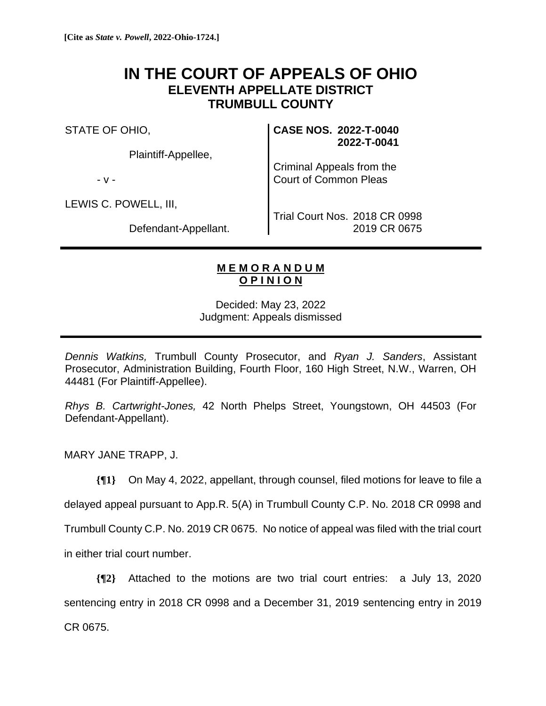## **IN THE COURT OF APPEALS OF OHIO ELEVENTH APPELLATE DISTRICT TRUMBULL COUNTY**

STATE OF OHIO,

Plaintiff-Appellee,

- v -

LEWIS C. POWELL, III,

Defendant-Appellant.

**CASE NOS. 2022-T-0040 2022-T-0041**

Criminal Appeals from the Court of Common Pleas

Trial Court Nos. 2018 CR 0998 2019 CR 0675

## **M E M O R A N D U M O P I N I O N**

Decided: May 23, 2022 Judgment: Appeals dismissed

*Dennis Watkins,* Trumbull County Prosecutor, and *Ryan J. Sanders*, Assistant Prosecutor, Administration Building, Fourth Floor, 160 High Street, N.W., Warren, OH 44481 (For Plaintiff-Appellee).

*Rhys B. Cartwright-Jones,* 42 North Phelps Street, Youngstown, OH 44503 (For Defendant-Appellant).

MARY JANE TRAPP, J.

**{¶1}** On May 4, 2022, appellant, through counsel, filed motions for leave to file a

delayed appeal pursuant to App.R. 5(A) in Trumbull County C.P. No. 2018 CR 0998 and

Trumbull County C.P. No. 2019 CR 0675. No notice of appeal was filed with the trial court

in either trial court number.

**{¶2}** Attached to the motions are two trial court entries: a July 13, 2020 sentencing entry in 2018 CR 0998 and a December 31, 2019 sentencing entry in 2019 CR 0675.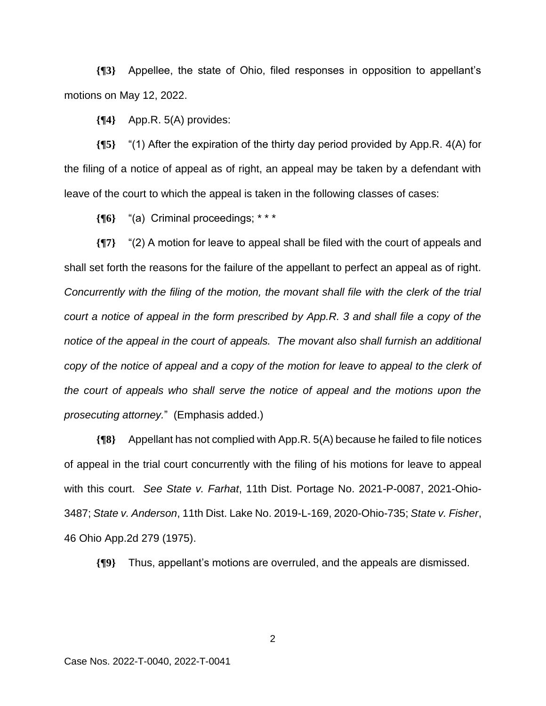**{¶3}** Appellee, the state of Ohio, filed responses in opposition to appellant's motions on May 12, 2022.

**{¶4}** App.R. 5(A) provides:

**{¶5}** "(1) After the expiration of the thirty day period provided by App.R. 4(A) for the filing of a notice of appeal as of right, an appeal may be taken by a defendant with leave of the court to which the appeal is taken in the following classes of cases:

**{¶6}** "(a) Criminal proceedings; \* \* \*

**{¶7}** "(2) A motion for leave to appeal shall be filed with the court of appeals and shall set forth the reasons for the failure of the appellant to perfect an appeal as of right*. Concurrently with the filing of the motion, the movant shall file with the clerk of the trial court a notice of appeal in the form prescribed by App.R. 3 and shall file a copy of the notice of the appeal in the court of appeals. The movant also shall furnish an additional*  copy of the notice of appeal and a copy of the motion for leave to appeal to the clerk of *the court of appeals who shall serve the notice of appeal and the motions upon the prosecuting attorney.*" (Emphasis added.)

**{¶8}** Appellant has not complied with App.R. 5(A) because he failed to file notices of appeal in the trial court concurrently with the filing of his motions for leave to appeal with this court. *See State v. Farhat*, 11th Dist. Portage No. 2021-P-0087, 2021-Ohio-3487; *State v. Anderson*, 11th Dist. Lake No. 2019-L-169, 2020-Ohio-735; *State v. Fisher*, 46 Ohio App.2d 279 (1975).

**{¶9}** Thus, appellant's motions are overruled, and the appeals are dismissed.

2